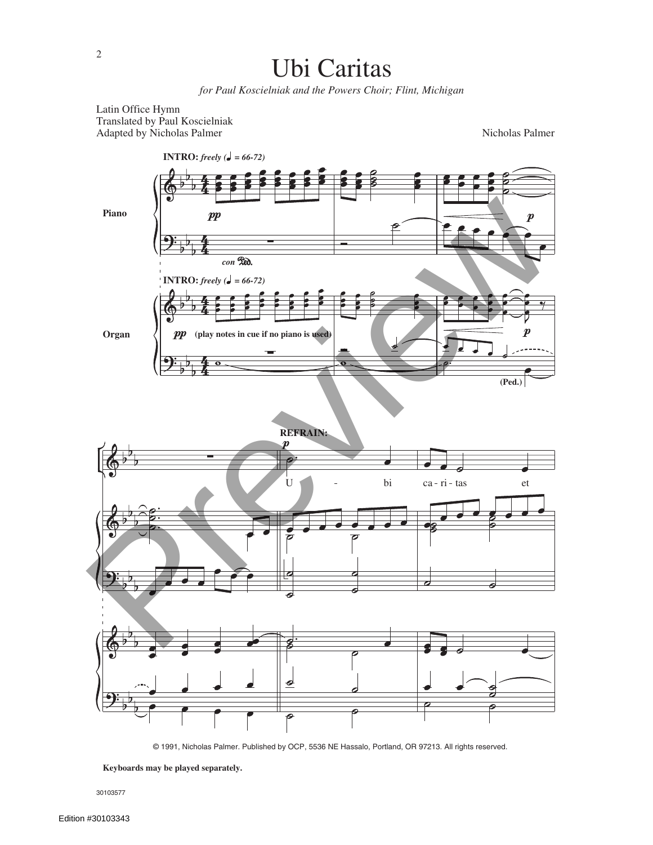

*for Paul Koscielniak and the Powers Choir; Flint, Michigan*

Latin Office Hymn Translated by Paul Koscielniak Adapted by Nicholas Palmer

Nicholas Palmer



© 1991, Nicholas Palmer. Published by OCP, 5536 NE Hassalo, Portland, OR 97213. All rights reserved.

30103577

**Keyboards may be played separately.**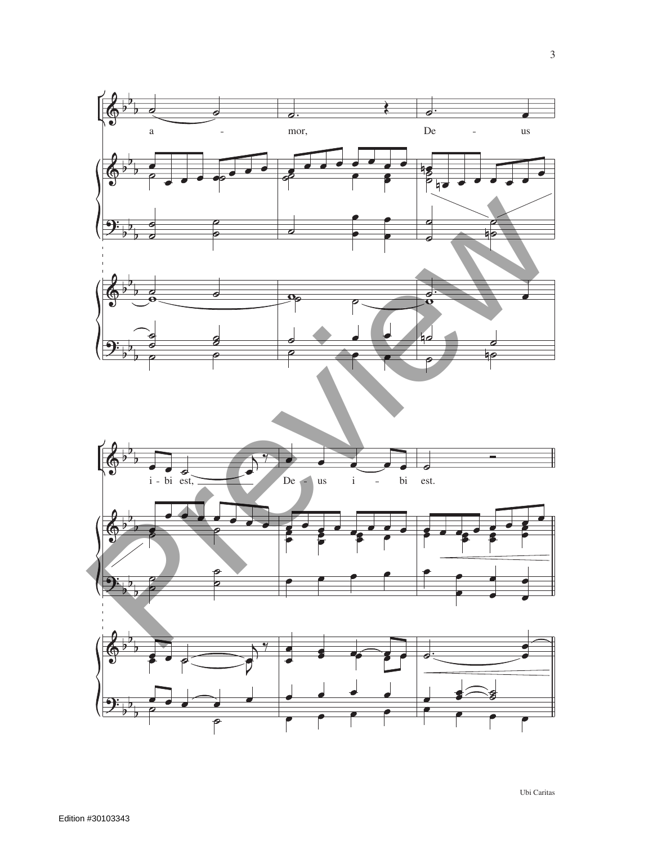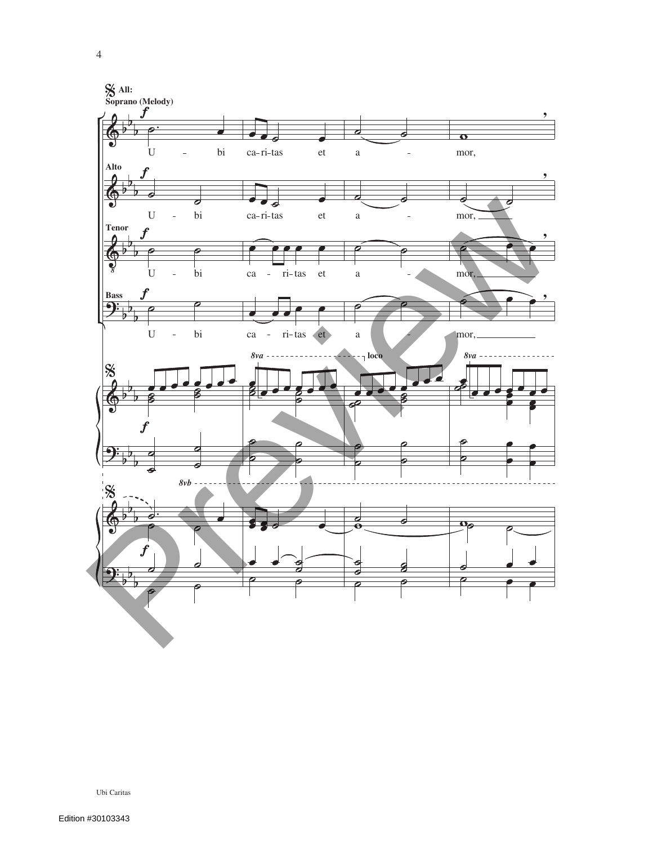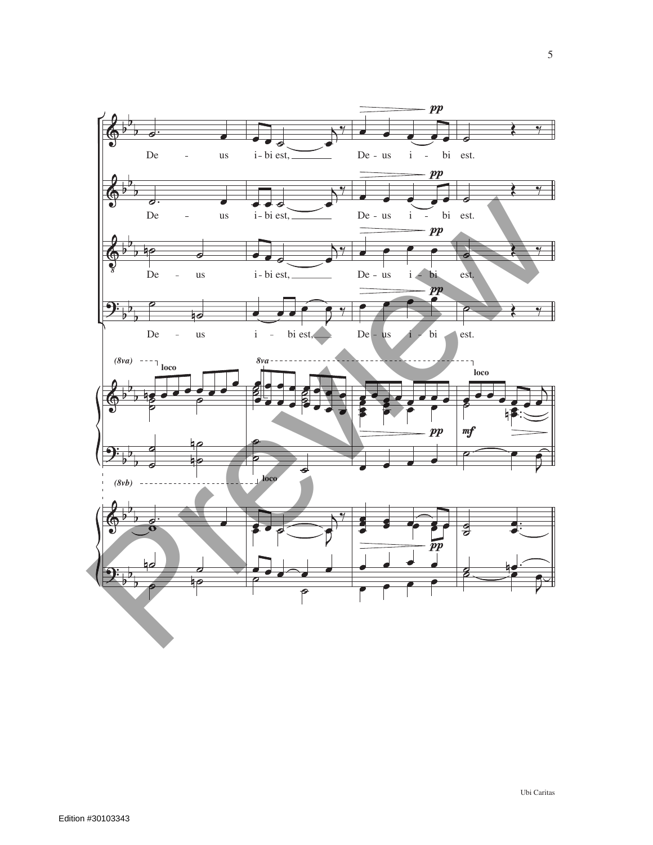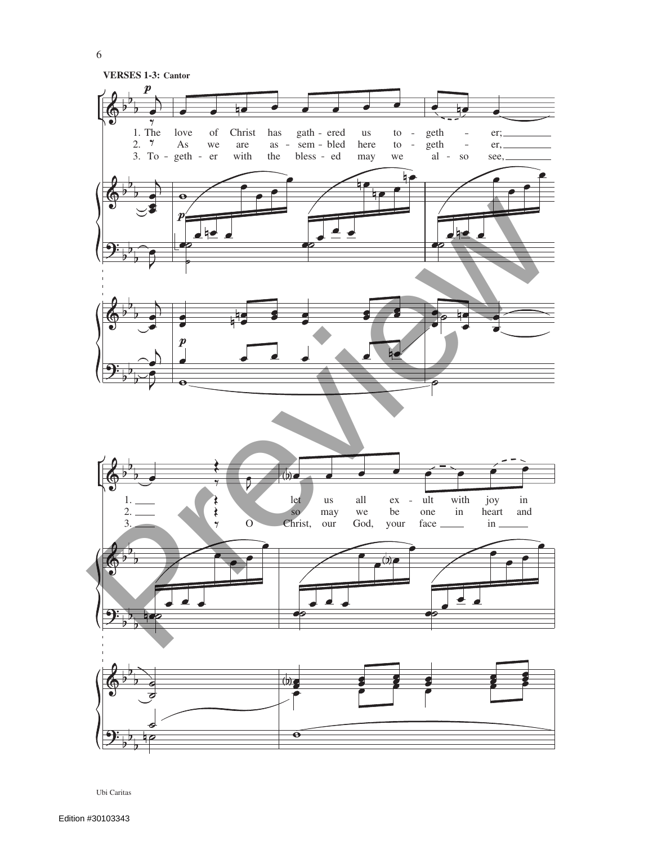

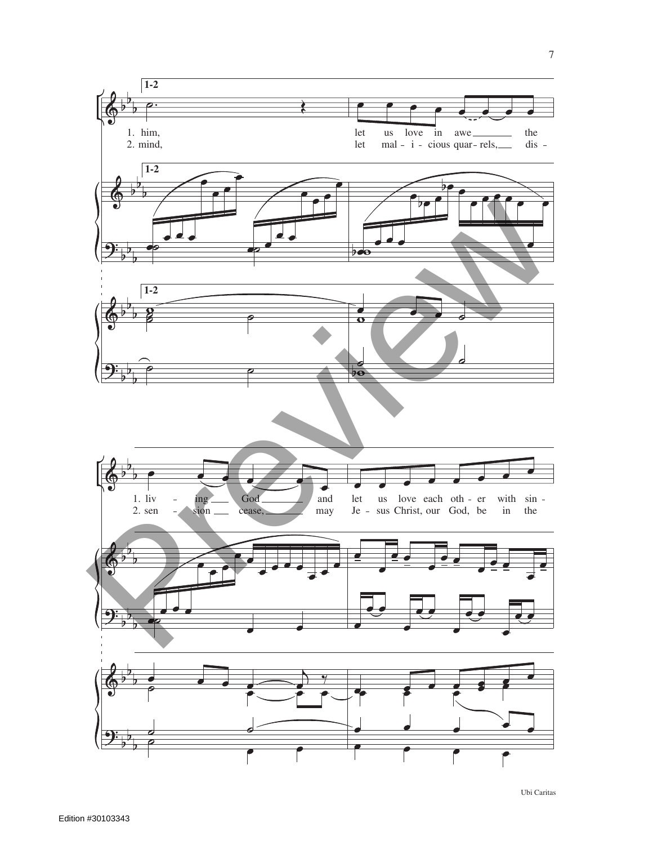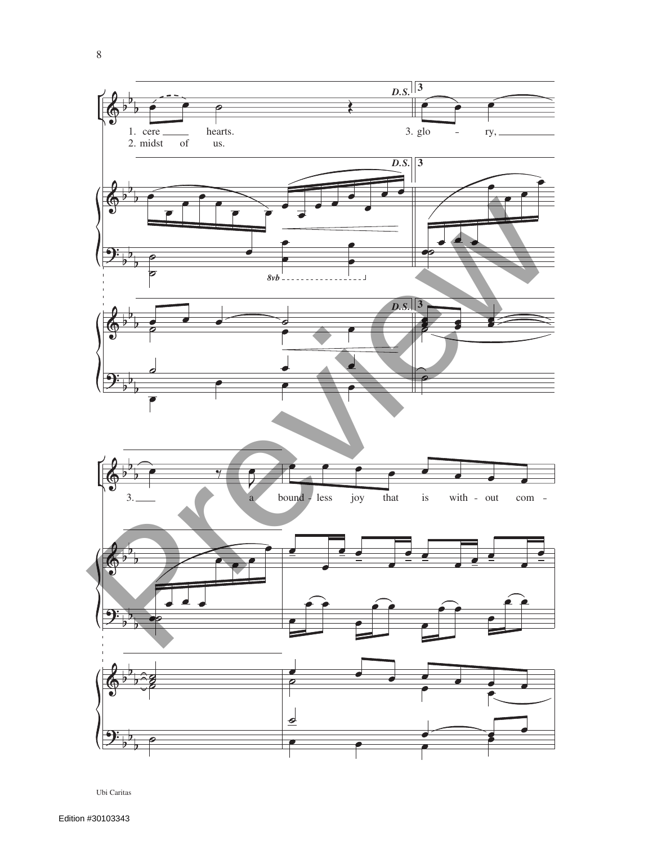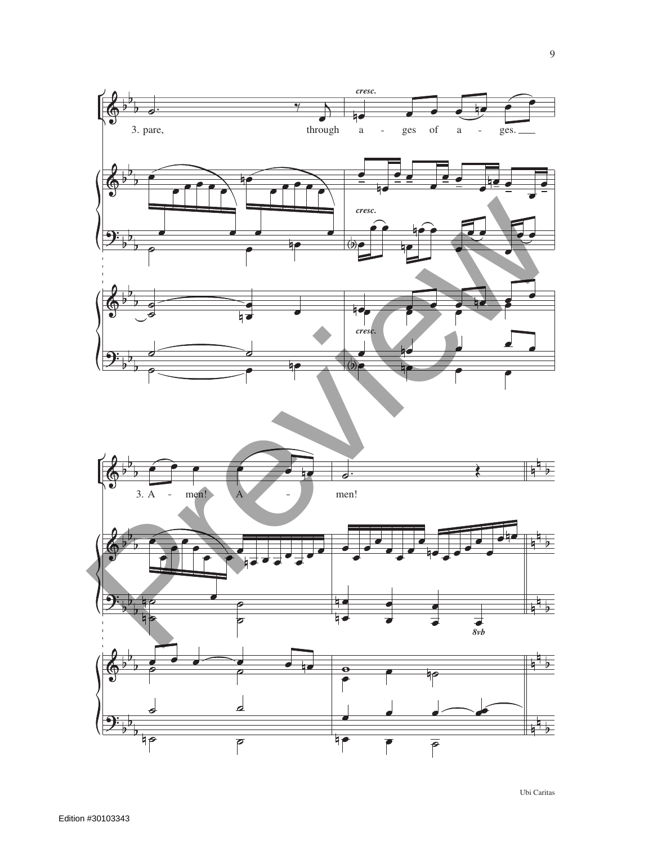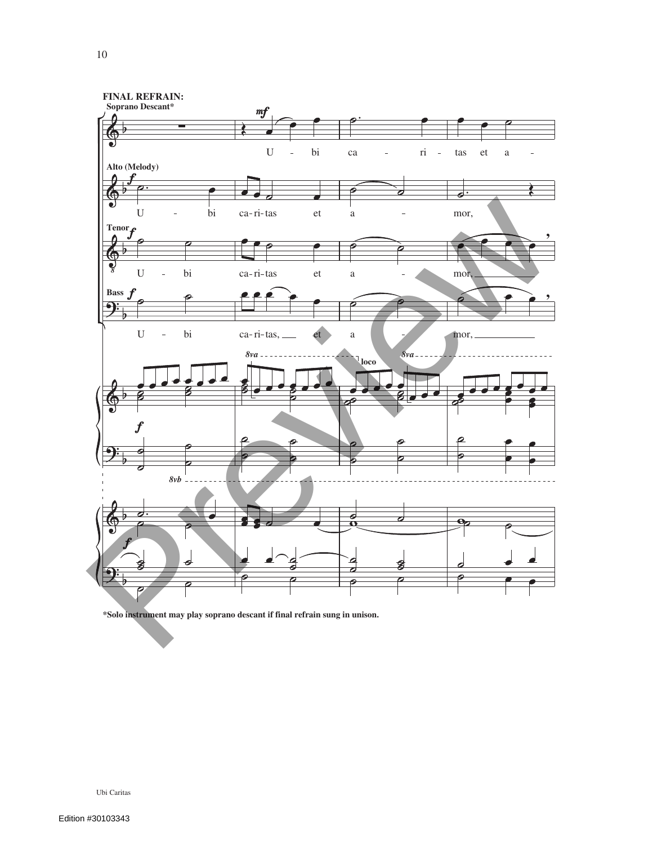

**\*Solo instrument may play soprano descant if final refrain sung in unison.**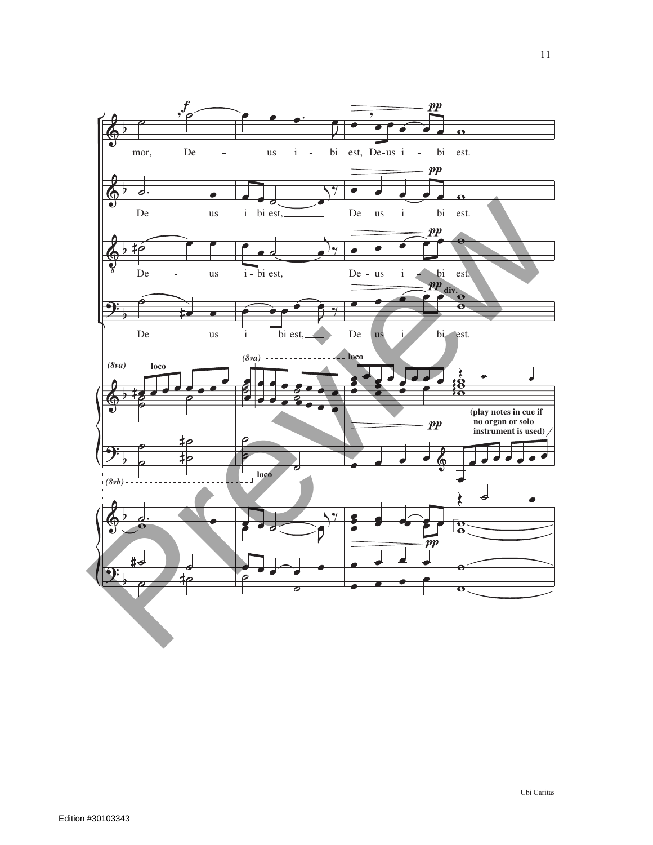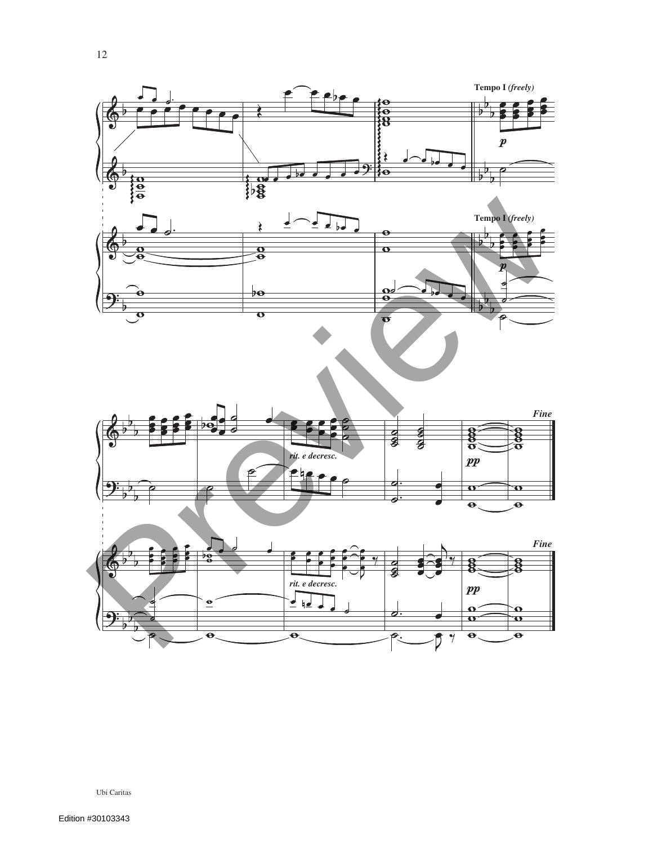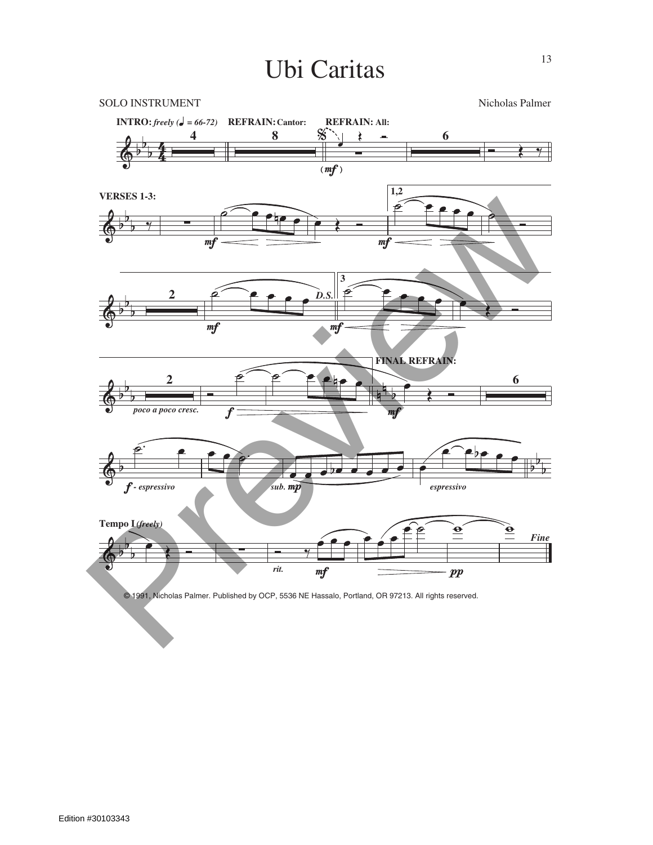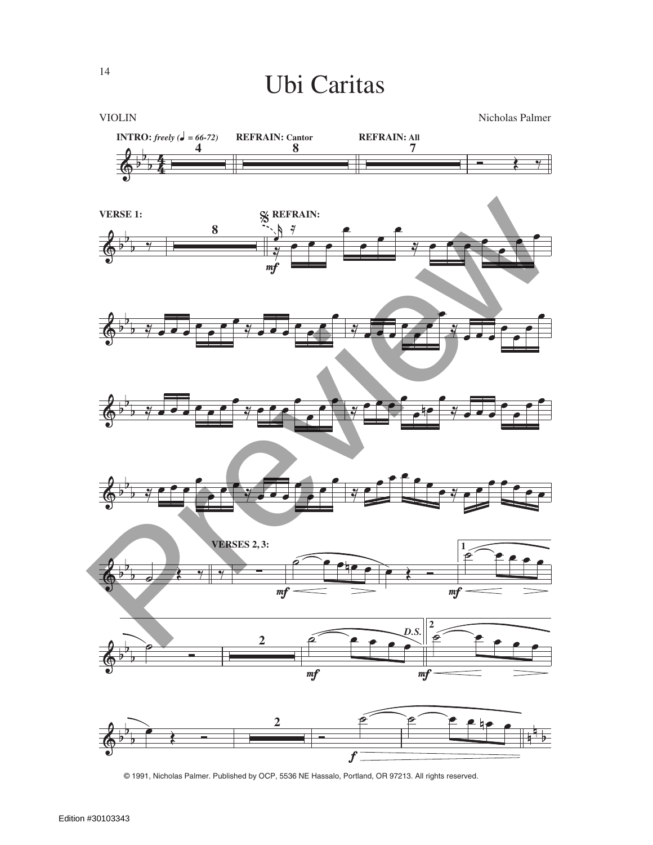

© 1991, Nicholas Palmer. Published by OCP, 5536 NE Hassalo, Portland, OR 97213. All rights reserved.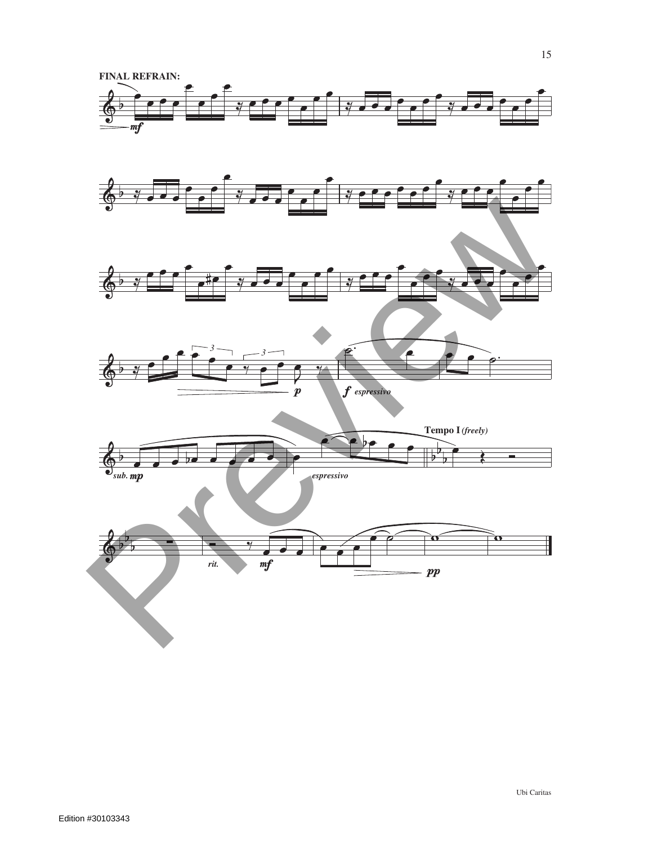